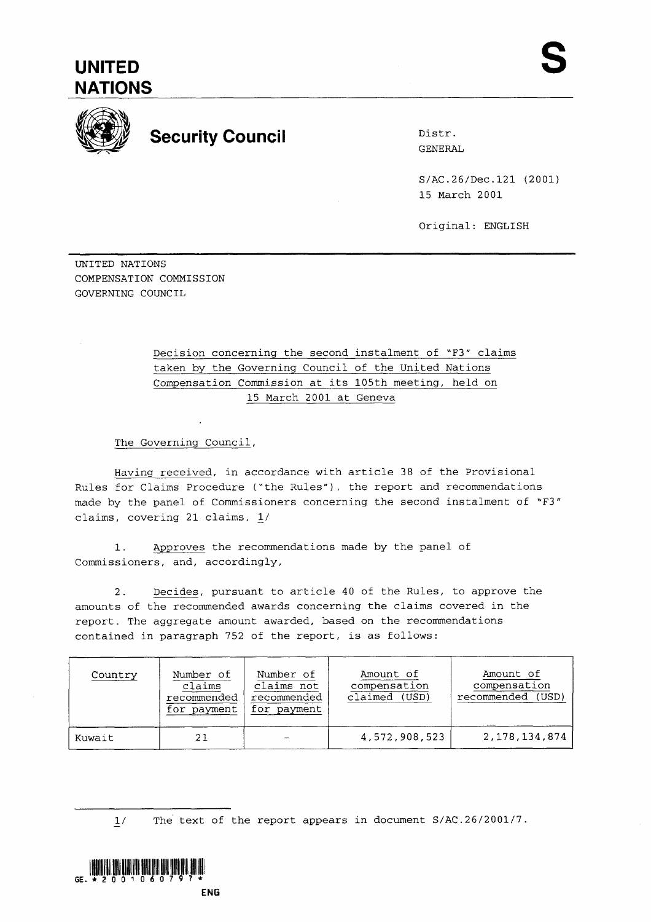

## **Security Council** Distr.

GENERAL

S/AC.26/Dec.121 (2001) 15 March 2001

Original: ENGLISH

UNITED NATIONS COMPENSATION COMMISSION GOVERNING COUNCIL

> Decision concerning the second instalment of "F3" claims taken by the Governing Council of the United Nations Compensation Commission at its 105th meeting, held on 15 March 2001 at Geneva

The Governing Council,

Having received, in accordance with article 38 of the Provisional Rules for Claims Procedure ("the Rules"), the report and recommendations made by the panel of Commissioners concerning the second instalment of "F3" claims, covering 21 claims, I/

1. Approves the recommendations made by the panel of Commissioners, and, accordingly,

2. Decides, pursuant to article 40 of the Rules, to approve the amounts of the recommended awards concerning the claims covered in the report. The aggregate amount awarded, based on the recommendations contained in paragraph 752 of the report, is as follows:

| Country | Number of<br>claims<br>recommended<br>for payment | Number of<br>claims not<br>recommended<br>for payment | Amount of<br>compensation<br>claimed (USD) | Amount of<br>compensation<br>recommended (USD) |
|---------|---------------------------------------------------|-------------------------------------------------------|--------------------------------------------|------------------------------------------------|
| Kuwait  | 21                                                |                                                       | 4,572,908,523                              | 2, 178, 134, 874                               |

 $1/$ 

The text of the report appears in document S/AC.26/2001/7.